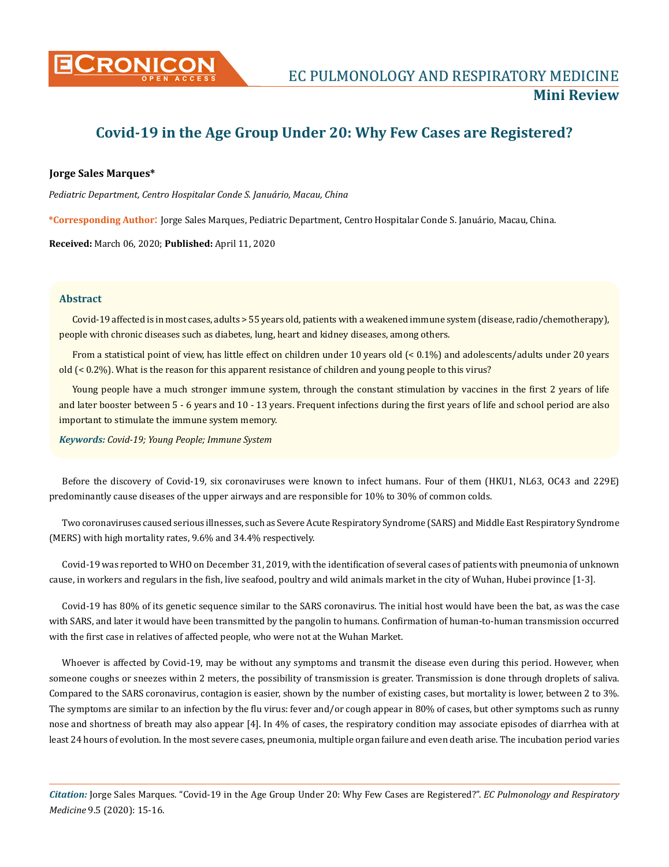

# **Covid-19 in the Age Group Under 20: Why Few Cases are Registered?**

### **Jorge Sales Marques\***

*Pediatric Department, Centro Hospitalar Conde S. Januário, Macau, China*

**\*Corresponding Author**: Jorge Sales Marques, Pediatric Department, Centro Hospitalar Conde S. Januário, Macau, China.

**Received:** March 06, 2020; **Published:** April 11, 2020

#### **Abstract**

Covid-19 affected is in most cases, adults > 55 years old, patients with a weakened immune system (disease, radio/chemotherapy), people with chronic diseases such as diabetes, lung, heart and kidney diseases, among others.

From a statistical point of view, has little effect on children under 10 years old (< 0.1%) and adolescents/adults under 20 years old (< 0.2%). What is the reason for this apparent resistance of children and young people to this virus?

Young people have a much stronger immune system, through the constant stimulation by vaccines in the first 2 years of life and later booster between 5 - 6 years and 10 - 13 years. Frequent infections during the first years of life and school period are also important to stimulate the immune system memory.

*Keywords: Covid-19; Young People; Immune System* 

Before the discovery of Covid-19, six coronaviruses were known to infect humans. Four of them (HKU1, NL63, OC43 and 229E) predominantly cause diseases of the upper airways and are responsible for 10% to 30% of common colds.

Two coronaviruses caused serious illnesses, such as Severe Acute Respiratory Syndrome (SARS) and Middle East Respiratory Syndrome (MERS) with high mortality rates, 9.6% and 34.4% respectively.

Covid-19 was reported to WHO on December 31, 2019, with the identification of several cases of patients with pneumonia of unknown cause, in workers and regulars in the fish, live seafood, poultry and wild animals market in the city of Wuhan, Hubei province [1-3].

Covid-19 has 80% of its genetic sequence similar to the SARS coronavirus. The initial host would have been the bat, as was the case with SARS, and later it would have been transmitted by the pangolin to humans. Confirmation of human-to-human transmission occurred with the first case in relatives of affected people, who were not at the Wuhan Market.

Whoever is affected by Covid-19, may be without any symptoms and transmit the disease even during this period. However, when someone coughs or sneezes within 2 meters, the possibility of transmission is greater. Transmission is done through droplets of saliva. Compared to the SARS coronavirus, contagion is easier, shown by the number of existing cases, but mortality is lower, between 2 to 3%. The symptoms are similar to an infection by the flu virus: fever and/or cough appear in 80% of cases, but other symptoms such as runny nose and shortness of breath may also appear [4]. In 4% of cases, the respiratory condition may associate episodes of diarrhea with at least 24 hours of evolution. In the most severe cases, pneumonia, multiple organ failure and even death arise. The incubation period varies

*Citation:* Jorge Sales Marques. "Covid-19 in the Age Group Under 20: Why Few Cases are Registered?". *EC Pulmonology and Respiratory Medicine* 9.5 (2020): 15-16.